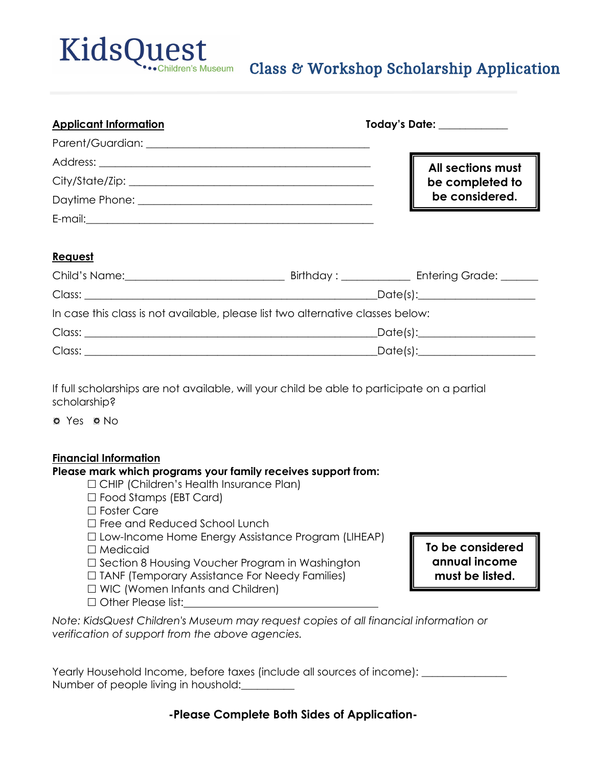

## Class & Workshop Scholarship Application

| <b>Applicant Information</b> | Today's Date: <u>________________</u> |  |
|------------------------------|---------------------------------------|--|
|                              |                                       |  |
|                              | All sections must                     |  |
|                              | be completed to                       |  |
|                              | be considered.                        |  |
| E-mail:                      |                                       |  |

### **Request**

|                                                                                 | Birthday : _____________ | Entering Grade: ______            |
|---------------------------------------------------------------------------------|--------------------------|-----------------------------------|
|                                                                                 |                          | _Date(s):________________________ |
| In case this class is not available, please list two alternative classes below: |                          |                                   |
|                                                                                 |                          | _Date(s):________________________ |
|                                                                                 |                          |                                   |

If full scholarships are not available, will your child be able to participate on a partial scholarship?

o Yes o No

#### **Financial Information**

#### **Please mark which programs your family receives support from:**

- CHIP (Children's Health Insurance Plan)
- □ Food Stamps (EBT Card)
- □ Foster Care
- $\Box$  Free and Reduced School Lunch

□ Low-Income Home Energy Assistance Program (LIHEAP) □ Medicaid

- $\square$  Section 8 Housing Voucher Program in Washington
- $\Box$  TANF (Temporary Assistance For Needy Families)
- $\Box$  WIC (Women Infants and Children)
- $\Box$  Other Please list:

**To be considered annual income must be listed.** 

*Note: KidsQuest Children's Museum may request copies of all financial information or verification of support from the above agencies.* 

| Yearly Household Income, before taxes (include all sources of income): |  |
|------------------------------------------------------------------------|--|
| Number of people living in houshold:                                   |  |

**-Please Complete Both Sides of Application-**